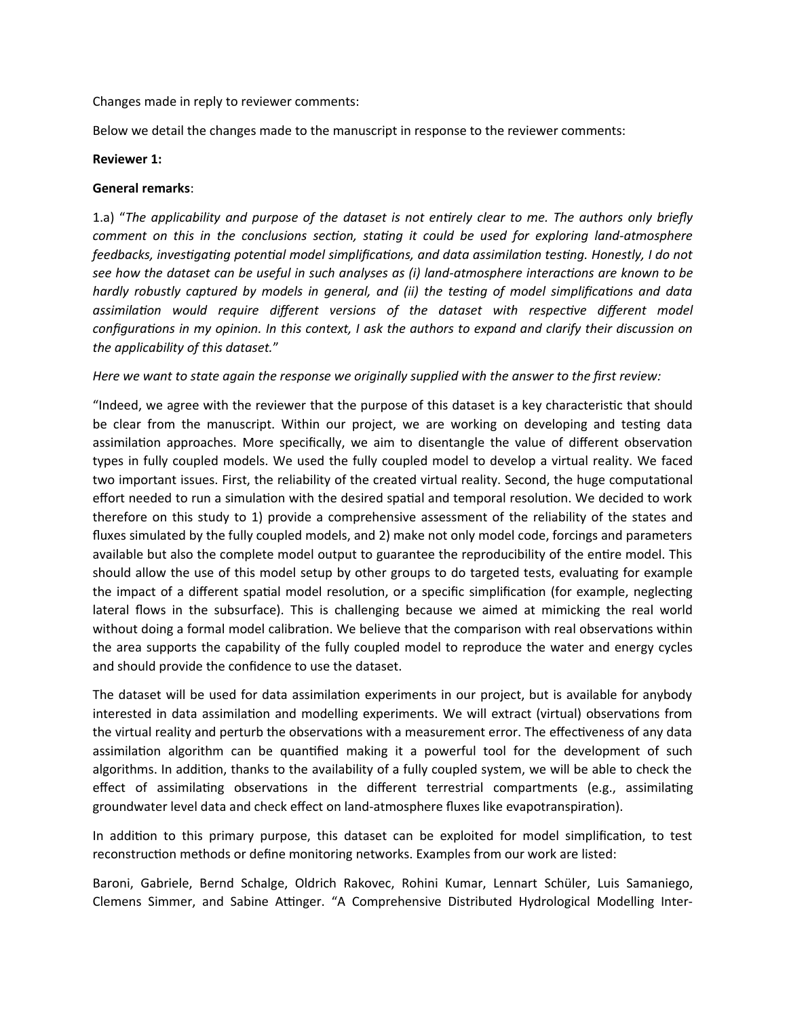Changes made in reply to reviewer comments:

Below we detail the changes made to the manuscript in response to the reviewer comments:

#### **Reviewer 1:**

### **General remarks**:

1.a) "*The applicability and purpose of the dataset is not entirely clear to me. The authors only briefly comment on this in the conclusions section, stating it could be used for exploring land-atmosphere feedbacks, investigating potential model simplifications, and data assimilation testing. Honestly, I do not see how the dataset can be useful in such analyses as (i) land-atmosphere interactions are known to be hardly robustly captured by models in general, and (ii) the testing of model simplifications and data assimilation would require different versions of the dataset with respective different model configurations in my opinion. In this context, I ask the authors to expand and clarify their discussion on the applicability of this dataset.*"

### *Here we want to state again the response we originally supplied with the answer to the first review:*

"Indeed, we agree with the reviewer that the purpose of this dataset is a key characteristic that should be clear from the manuscript. Within our project, we are working on developing and testing data assimilation approaches. More specifically, we aim to disentangle the value of different observation types in fully coupled models. We used the fully coupled model to develop a virtual reality. We faced two important issues. First, the reliability of the created virtual reality. Second, the huge computational effort needed to run a simulation with the desired spatial and temporal resolution. We decided to work therefore on this study to 1) provide a comprehensive assessment of the reliability of the states and fluxes simulated by the fully coupled models, and 2) make not only model code, forcings and parameters available but also the complete model output to guarantee the reproducibility of the entire model. This should allow the use of this model setup by other groups to do targeted tests, evaluating for example the impact of a different spatial model resolution, or a specific simplification (for example, neglecting lateral flows in the subsurface). This is challenging because we aimed at mimicking the real world without doing a formal model calibration. We believe that the comparison with real observations within the area supports the capability of the fully coupled model to reproduce the water and energy cycles and should provide the confidence to use the dataset.

The dataset will be used for data assimilation experiments in our project, but is available for anybody interested in data assimilation and modelling experiments. We will extract (virtual) observations from the virtual reality and perturb the observations with a measurement error. The effectiveness of any data assimilation algorithm can be quantified making it a powerful tool for the development of such algorithms. In addition, thanks to the availability of a fully coupled system, we will be able to check the effect of assimilating observations in the different terrestrial compartments (e.g., assimilating groundwater level data and check effect on land-atmosphere fluxes like evapotranspiration).

In addition to this primary purpose, this dataset can be exploited for model simplification, to test reconstruction methods or define monitoring networks. Examples from our work are listed:

Baroni, Gabriele, Bernd Schalge, Oldrich Rakovec, Rohini Kumar, Lennart Schüler, Luis Samaniego, Clemens Simmer, and Sabine Attinger. "A Comprehensive Distributed Hydrological Modelling Inter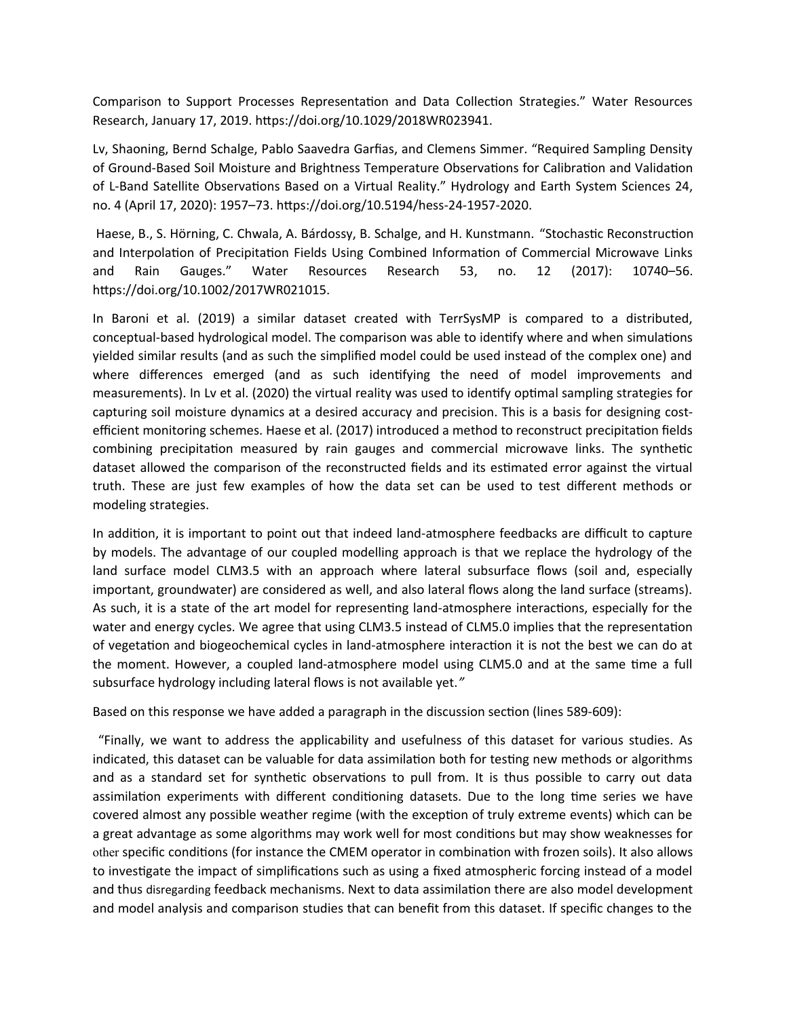Comparison to Support Processes Representation and Data Collection Strategies." Water Resources Research, January 17, 2019. https://doi.org/10.1029/2018WR023941.

Lv, Shaoning, Bernd Schalge, Pablo Saavedra Garfias, and Clemens Simmer. "Required Sampling Density of Ground-Based Soil Moisture and Brightness Temperature Observations for Calibration and Validation of L-Band Satellite Observations Based on a Virtual Reality." Hydrology and Earth System Sciences 24, no. 4 (April 17, 2020): 1957–73. https://doi.org/10.5194/hess-24-1957-2020.

Haese, B., S. Hörning, C. Chwala, A. Bárdossy, B. Schalge, and H. Kunstmann. "Stochastic Reconstruction and Interpolation of Precipitation Fields Using Combined Information of Commercial Microwave Links and Rain Gauges." Water Resources Research 53, no. 12 (2017): 10740–56. https://doi.org/10.1002/2017WR021015.

In Baroni et al. (2019) a similar dataset created with TerrSysMP is compared to a distributed, conceptual-based hydrological model. The comparison was able to identify where and when simulations yielded similar results (and as such the simplified model could be used instead of the complex one) and where differences emerged (and as such identifying the need of model improvements and measurements). In Lv et al. (2020) the virtual reality was used to identify optimal sampling strategies for capturing soil moisture dynamics at a desired accuracy and precision. This is a basis for designing costefficient monitoring schemes. Haese et al. (2017) introduced a method to reconstruct precipitation fields combining precipitation measured by rain gauges and commercial microwave links. The synthetic dataset allowed the comparison of the reconstructed fields and its estimated error against the virtual truth. These are just few examples of how the data set can be used to test different methods or modeling strategies.

In addition, it is important to point out that indeed land-atmosphere feedbacks are difficult to capture by models. The advantage of our coupled modelling approach is that we replace the hydrology of the land surface model CLM3.5 with an approach where lateral subsurface flows (soil and, especially important, groundwater) are considered as well, and also lateral flows along the land surface (streams). As such, it is a state of the art model for representing land-atmosphere interactions, especially for the water and energy cycles. We agree that using CLM3.5 instead of CLM5.0 implies that the representation of vegetation and biogeochemical cycles in land-atmosphere interaction it is not the best we can do at the moment. However, a coupled land-atmosphere model using CLM5.0 and at the same time a full subsurface hydrology including lateral flows is not available yet.*"* 

Based on this response we have added a paragraph in the discussion section (lines 589-609):

"Finally, we want to address the applicability and usefulness of this dataset for various studies. As indicated, this dataset can be valuable for data assimilation both for testing new methods or algorithms and as a standard set for synthetic observations to pull from. It is thus possible to carry out data assimilation experiments with different conditioning datasets. Due to the long time series we have covered almost any possible weather regime (with the exception of truly extreme events) which can be a great advantage as some algorithms may work well for most conditions but may show weaknesses for other specific conditions (for instance the CMEM operator in combination with frozen soils). It also allows to investigate the impact of simplifications such as using a fixed atmospheric forcing instead of a model and thus disregarding feedback mechanisms. Next to data assimilation there are also model development and model analysis and comparison studies that can benefit from this dataset. If specific changes to the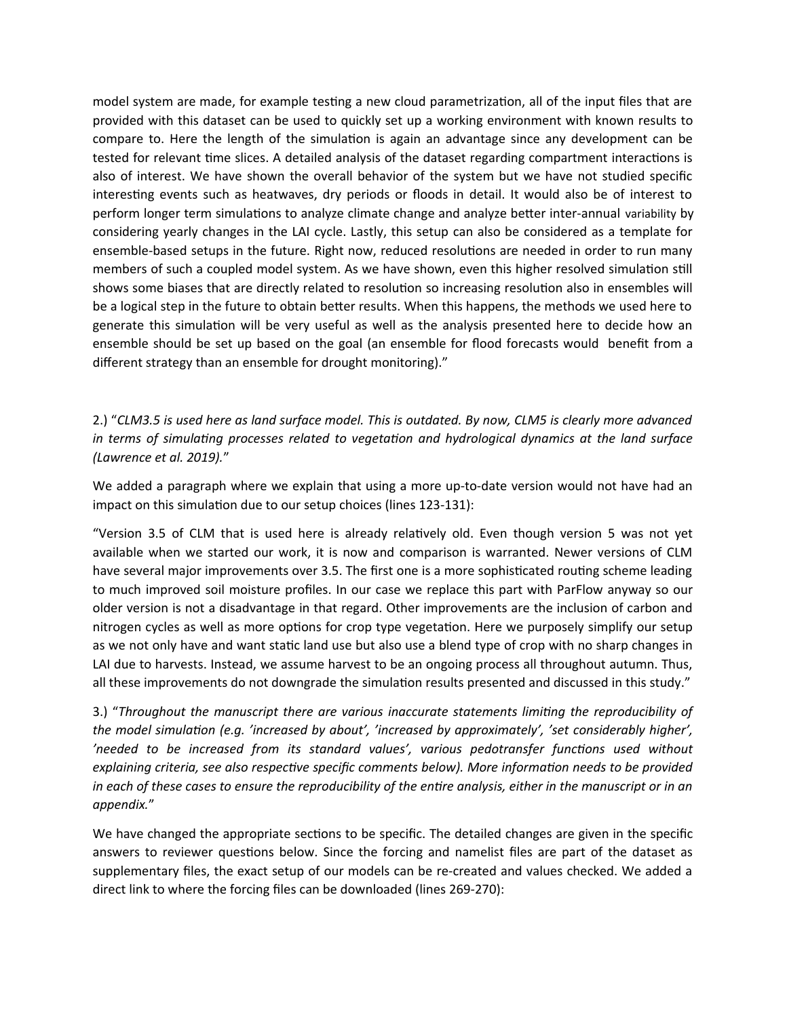model system are made, for example testing a new cloud parametrization, all of the input files that are provided with this dataset can be used to quickly set up a working environment with known results to compare to. Here the length of the simulation is again an advantage since any development can be tested for relevant time slices. A detailed analysis of the dataset regarding compartment interactions is also of interest. We have shown the overall behavior of the system but we have not studied specific interesting events such as heatwaves, dry periods or floods in detail. It would also be of interest to perform longer term simulations to analyze climate change and analyze better inter-annual variability by considering yearly changes in the LAI cycle. Lastly, this setup can also be considered as a template for ensemble-based setups in the future. Right now, reduced resolutions are needed in order to run many members of such a coupled model system. As we have shown, even this higher resolved simulation still shows some biases that are directly related to resolution so increasing resolution also in ensembles will be a logical step in the future to obtain better results. When this happens, the methods we used here to generate this simulation will be very useful as well as the analysis presented here to decide how an ensemble should be set up based on the goal (an ensemble for flood forecasts would benefit from a different strategy than an ensemble for drought monitoring)."

2.) "*CLM3.5 is used here as land surface model. This is outdated. By now, CLM5 is clearly more advanced in terms of simulating processes related to vegetation and hydrological dynamics at the land surface (Lawrence et al. 2019).*"

We added a paragraph where we explain that using a more up-to-date version would not have had an impact on this simulation due to our setup choices (lines 123-131):

"Version 3.5 of CLM that is used here is already relatively old. Even though version 5 was not yet available when we started our work, it is now and comparison is warranted. Newer versions of CLM have several major improvements over 3.5. The first one is a more sophisticated routing scheme leading to much improved soil moisture profiles. In our case we replace this part with ParFlow anyway so our older version is not a disadvantage in that regard. Other improvements are the inclusion of carbon and nitrogen cycles as well as more options for crop type vegetation. Here we purposely simplify our setup as we not only have and want static land use but also use a blend type of crop with no sharp changes in LAI due to harvests. Instead, we assume harvest to be an ongoing process all throughout autumn. Thus, all these improvements do not downgrade the simulation results presented and discussed in this study."

3.) "*Throughout the manuscript there are various inaccurate statements limiting the reproducibility of the model simulation (e.g. 'increased by about', 'increased by approximately', 'set considerably higher', 'needed to be increased from its standard values', various pedotransfer functions used without explaining criteria, see also respective specific comments below). More information needs to be provided in each of these cases to ensure the reproducibility of the entire analysis, either in the manuscript or in an appendix.*"

We have changed the appropriate sections to be specific. The detailed changes are given in the specific answers to reviewer questions below. Since the forcing and namelist files are part of the dataset as supplementary files, the exact setup of our models can be re-created and values checked. We added a direct link to where the forcing files can be downloaded (lines 269-270):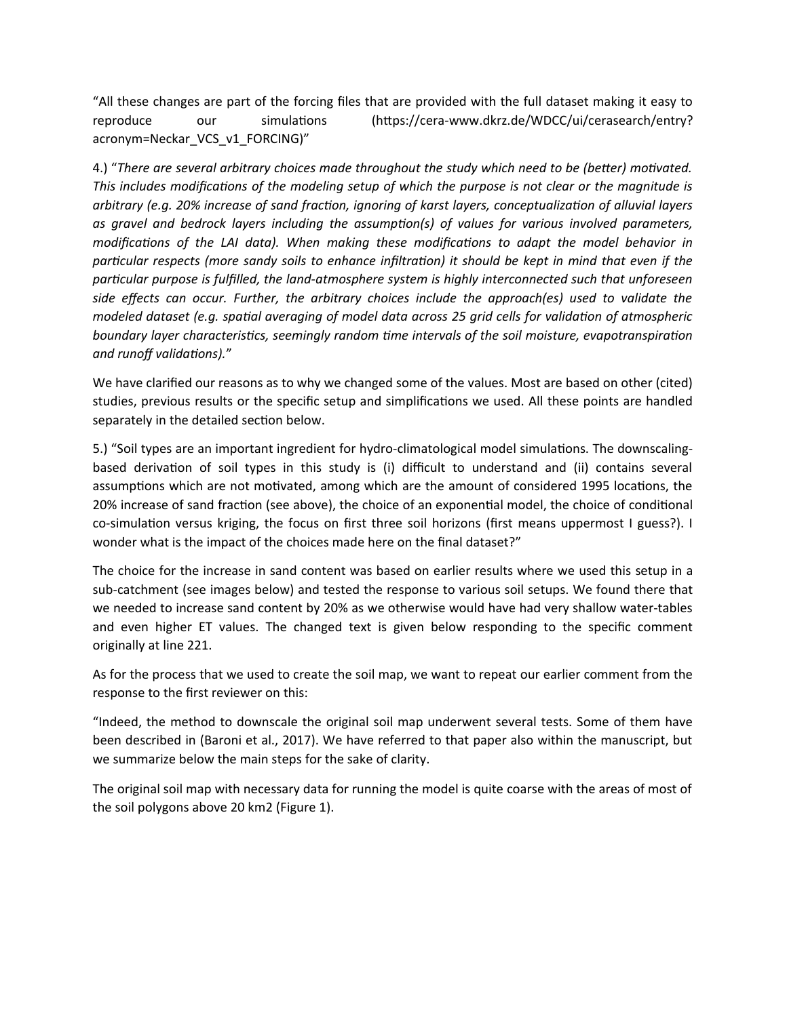"All these changes are part of the forcing files that are provided with the full dataset making it easy to reproduce our simulations (https://cera-www.dkrz.de/WDCC/ui/cerasearch/entry? acronym=Neckar\_VCS\_v1\_FORCING)"

4.) "*There are several arbitrary choices made throughout the study which need to be (better) motivated. This includes modifications of the modeling setup of which the purpose is not clear or the magnitude is arbitrary (e.g. 20% increase of sand fraction, ignoring of karst layers, conceptualization of alluvial layers as gravel and bedrock layers including the assumption(s) of values for various involved parameters, modifications of the LAI data). When making these modifications to adapt the model behavior in particular respects (more sandy soils to enhance infiltration) it should be kept in mind that even if the particular purpose is fulfilled, the land-atmosphere system is highly interconnected such that unforeseen side effects can occur. Further, the arbitrary choices include the approach(es) used to validate the modeled dataset (e.g. spatial averaging of model data across 25 grid cells for validation of atmospheric boundary layer characteristics, seemingly random time intervals of the soil moisture, evapotranspiration and runoff validations).*"

We have clarified our reasons as to why we changed some of the values. Most are based on other (cited) studies, previous results or the specific setup and simplifications we used. All these points are handled separately in the detailed section below.

5.) "Soil types are an important ingredient for hydro-climatological model simulations. The downscalingbased derivation of soil types in this study is (i) difficult to understand and (ii) contains several assumptions which are not motivated, among which are the amount of considered 1995 locations, the 20% increase of sand fraction (see above), the choice of an exponential model, the choice of conditional co-simulation versus kriging, the focus on first three soil horizons (first means uppermost I guess?). I wonder what is the impact of the choices made here on the final dataset?"

The choice for the increase in sand content was based on earlier results where we used this setup in a sub-catchment (see images below) and tested the response to various soil setups. We found there that we needed to increase sand content by 20% as we otherwise would have had very shallow water-tables and even higher ET values. The changed text is given below responding to the specific comment originally at line 221.

As for the process that we used to create the soil map, we want to repeat our earlier comment from the response to the first reviewer on this:

"Indeed, the method to downscale the original soil map underwent several tests. Some of them have been described in (Baroni et al., 2017). We have referred to that paper also within the manuscript, but we summarize below the main steps for the sake of clarity.

The original soil map with necessary data for running the model is quite coarse with the areas of most of the soil polygons above 20 km2 (Figure 1).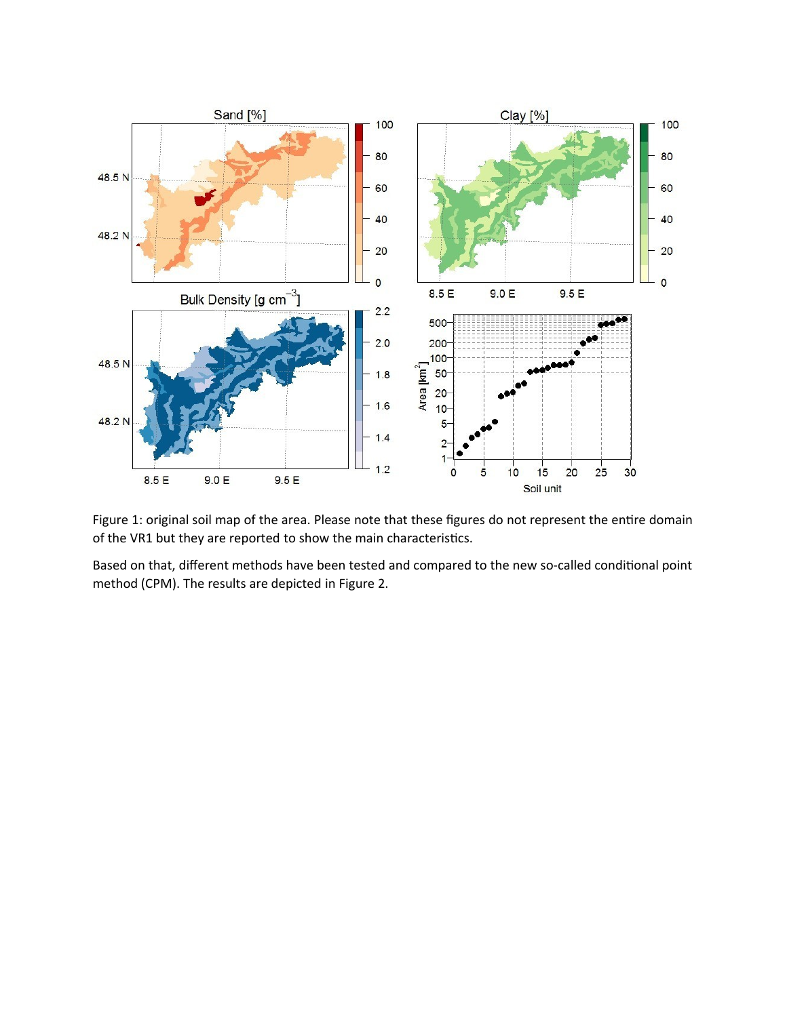

Figure 1: original soil map of the area. Please note that these figures do not represent the entire domain of the VR1 but they are reported to show the main characteristics.

Based on that, different methods have been tested and compared to the new so-called conditional point method (CPM). The results are depicted in Figure 2.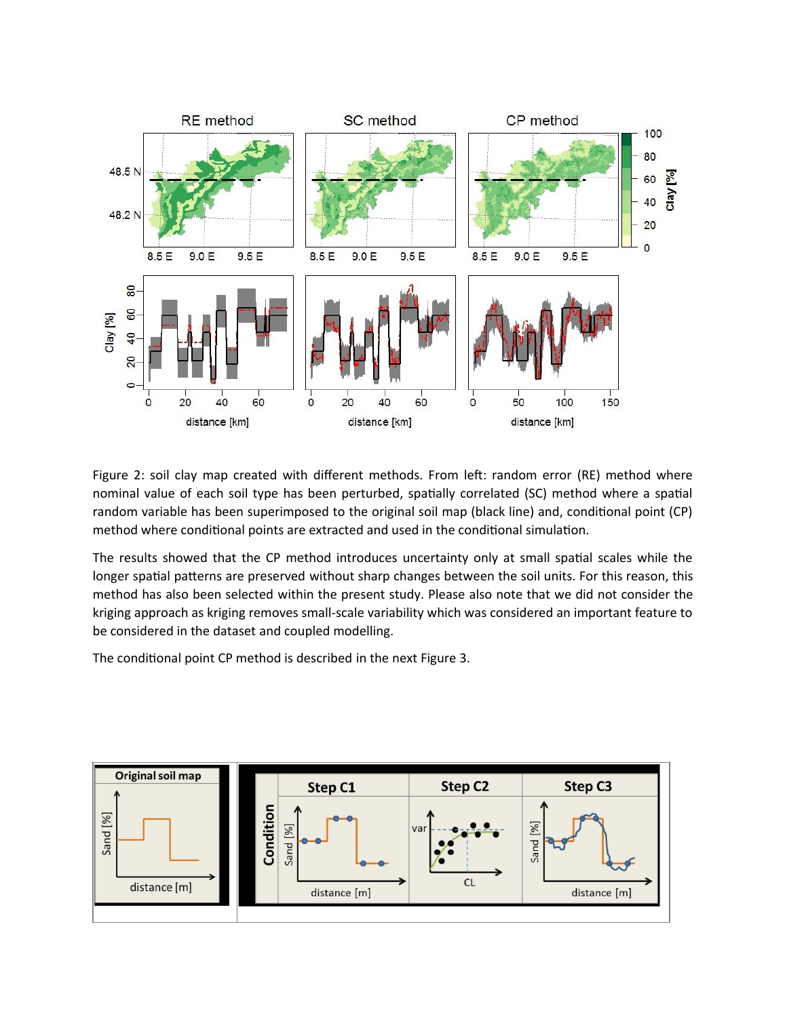

Figure 2: soil clay map created with different methods. From left: random error (RE) method where nominal value of each soil type has been perturbed, spatially correlated (SC) method where a spatial random variable has been superimposed to the original soil map (black line) and, conditional point (CP) method where conditional points are extracted and used in the conditional simulation.

The results showed that the CP method introduces uncertainty only at small spatial scales while the longer spatial patterns are preserved without sharp changes between the soil units. For this reason, this method has also been selected within the present study. Please also note that we did not consider the kriging approach as kriging removes small-scale variability which was considered an important feature to be considered in the dataset and coupled modelling.

The conditional point CP method is described in the next Figure 3.

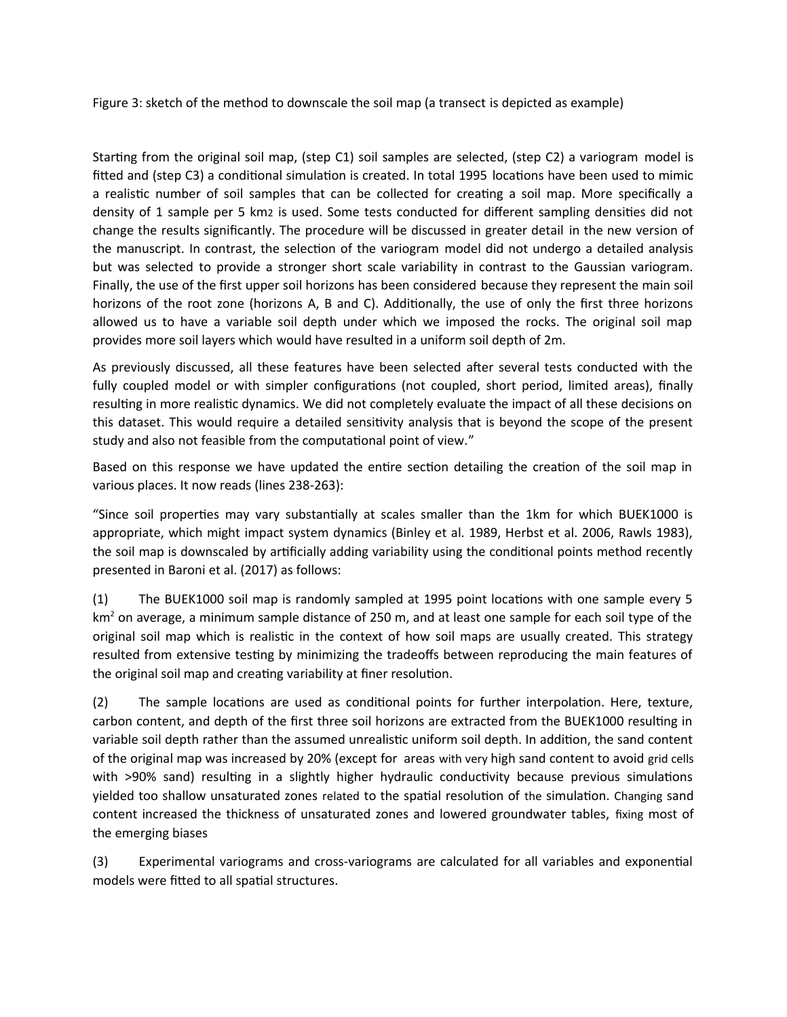Figure 3: sketch of the method to downscale the soil map (a transect is depicted as example)

Starting from the original soil map, (step C1) soil samples are selected, (step C2) a variogram model is fitted and (step C3) a conditional simulation is created. In total 1995 locations have been used to mimic a realistic number of soil samples that can be collected for creating a soil map. More specifically a density of 1 sample per 5 km2 is used. Some tests conducted for different sampling densities did not change the results significantly. The procedure will be discussed in greater detail in the new version of the manuscript. In contrast, the selection of the variogram model did not undergo a detailed analysis but was selected to provide a stronger short scale variability in contrast to the Gaussian variogram. Finally, the use of the first upper soil horizons has been considered because they represent the main soil horizons of the root zone (horizons A, B and C). Additionally, the use of only the first three horizons allowed us to have a variable soil depth under which we imposed the rocks. The original soil map provides more soil layers which would have resulted in a uniform soil depth of 2m.

As previously discussed, all these features have been selected after several tests conducted with the fully coupled model or with simpler configurations (not coupled, short period, limited areas), finally resulting in more realistic dynamics. We did not completely evaluate the impact of all these decisions on this dataset. This would require a detailed sensitivity analysis that is beyond the scope of the present study and also not feasible from the computational point of view."

Based on this response we have updated the entire section detailing the creation of the soil map in various places. It now reads (lines 238-263):

"Since soil properties may vary substantially at scales smaller than the 1km for which BUEK1000 is appropriate, which might impact system dynamics (Binley et al. 1989, Herbst et al. 2006, Rawls 1983), the soil map is downscaled by artificially adding variability using the conditional points method recently presented in Baroni et al. (2017) as follows:

(1) The BUEK1000 soil map is randomly sampled at 1995 point locations with one sample every 5 km<sup>2</sup> on average, a minimum sample distance of 250 m, and at least one sample for each soil type of the original soil map which is realistic in the context of how soil maps are usually created. This strategy resulted from extensive testing by minimizing the tradeoffs between reproducing the main features of the original soil map and creating variability at finer resolution.

(2) The sample locations are used as conditional points for further interpolation. Here, texture, carbon content, and depth of the first three soil horizons are extracted from the BUEK1000 resulting in variable soil depth rather than the assumed unrealistic uniform soil depth. In addition, the sand content of the original map was increased by 20% (except for areas with very high sand content to avoid grid cells with >90% sand) resulting in a slightly higher hydraulic conductivity because previous simulations yielded too shallow unsaturated zones related to the spatial resolution of the simulation. Changing sand content increased the thickness of unsaturated zones and lowered groundwater tables, fixing most of the emerging biases

(3) Experimental variograms and cross-variograms are calculated for all variables and exponential models were fitted to all spatial structures.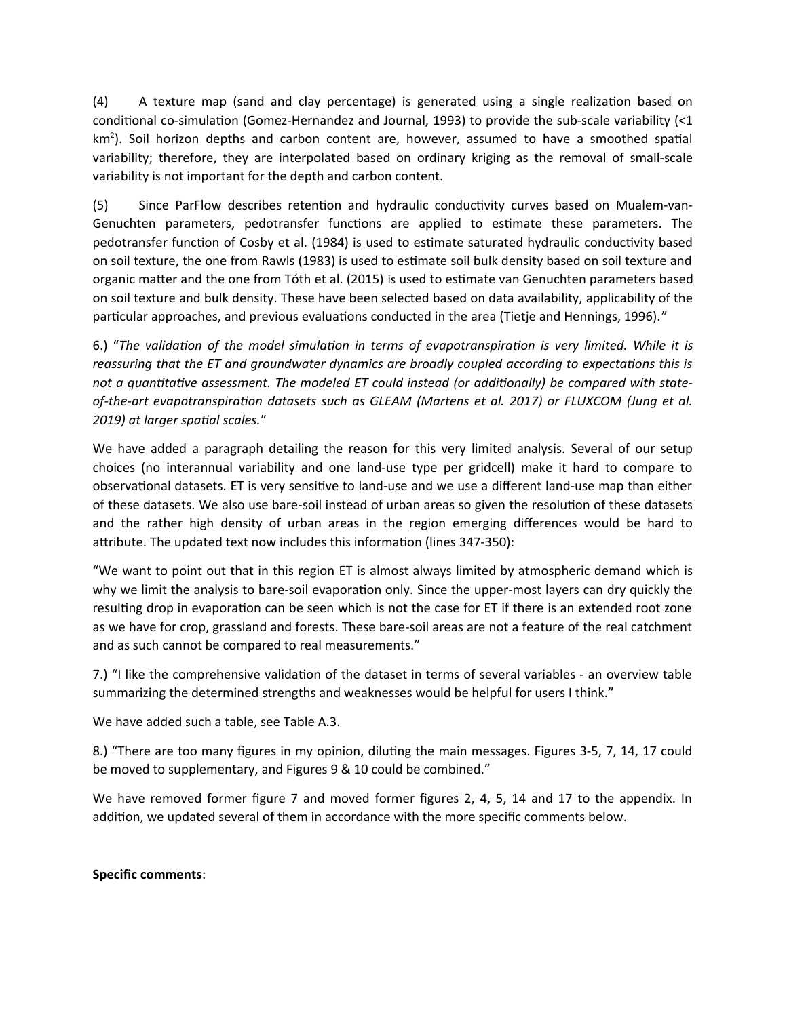(4) A texture map (sand and clay percentage) is generated using a single realization based on conditional co-simulation (Gomez-Hernandez and Journal, 1993) to provide the sub-scale variability (<1 km<sup>2</sup>). Soil horizon depths and carbon content are, however, assumed to have a smoothed spatial variability; therefore, they are interpolated based on ordinary kriging as the removal of small-scale variability is not important for the depth and carbon content.

(5) Since ParFlow describes retention and hydraulic conductivity curves based on Mualem-van-Genuchten parameters, pedotransfer functions are applied to estimate these parameters. The pedotransfer function of Cosby et al. (1984) is used to estimate saturated hydraulic conductivity based on soil texture, the one from Rawls (1983) is used to estimate soil bulk density based on soil texture and organic matter and the one from Tóth et al. (2015) is used to estimate van Genuchten parameters based on soil texture and bulk density. These have been selected based on data availability, applicability of the particular approaches, and previous evaluations conducted in the area (Tietje and Hennings, 1996)."

6.) "*The validation of the model simulation in terms of evapotranspiration is very limited. While it is reassuring that the ET and groundwater dynamics are broadly coupled according to expectations this is not a quantitative assessment. The modeled ET could instead (or additionally) be compared with stateof-the-art evapotranspiration datasets such as GLEAM (Martens et al. 2017) or FLUXCOM (Jung et al. 2019) at larger spatial scales.*"

We have added a paragraph detailing the reason for this very limited analysis. Several of our setup choices (no interannual variability and one land-use type per gridcell) make it hard to compare to observational datasets. ET is very sensitive to land-use and we use a different land-use map than either of these datasets. We also use bare-soil instead of urban areas so given the resolution of these datasets and the rather high density of urban areas in the region emerging differences would be hard to attribute. The updated text now includes this information (lines 347-350):

"We want to point out that in this region ET is almost always limited by atmospheric demand which is why we limit the analysis to bare-soil evaporation only. Since the upper-most layers can dry quickly the resulting drop in evaporation can be seen which is not the case for ET if there is an extended root zone as we have for crop, grassland and forests. These bare-soil areas are not a feature of the real catchment and as such cannot be compared to real measurements."

7.) "I like the comprehensive validation of the dataset in terms of several variables - an overview table summarizing the determined strengths and weaknesses would be helpful for users I think."

We have added such a table, see Table A.3.

8.) "There are too many figures in my opinion, diluting the main messages. Figures 3-5, 7, 14, 17 could be moved to supplementary, and Figures 9 & 10 could be combined."

We have removed former figure 7 and moved former figures 2, 4, 5, 14 and 17 to the appendix. In addition, we updated several of them in accordance with the more specific comments below.

# **Specific comments**: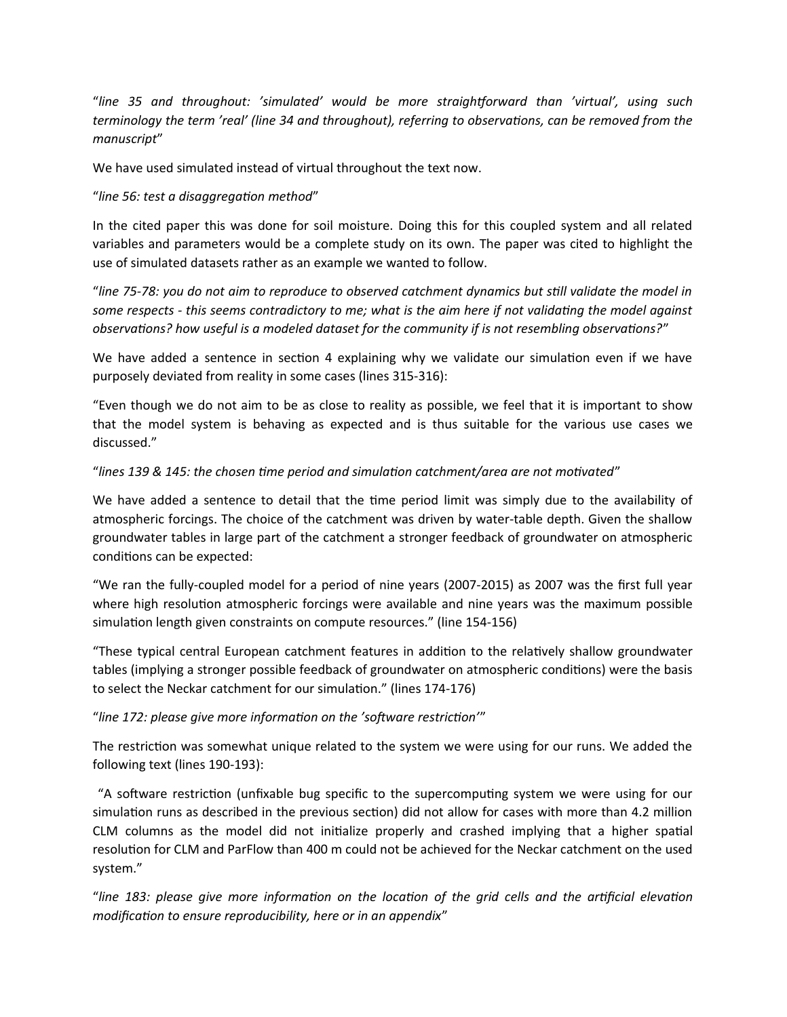"*line 35 and throughout: 'simulated' would be more straightforward than 'virtual', using such terminology the term 'real' (line 34 and throughout), referring to observations, can be removed from the manuscript*"

We have used simulated instead of virtual throughout the text now.

### "*line 56: test a disaggregation method*"

In the cited paper this was done for soil moisture. Doing this for this coupled system and all related variables and parameters would be a complete study on its own. The paper was cited to highlight the use of simulated datasets rather as an example we wanted to follow.

"*line 75-78: you do not aim to reproduce to observed catchment dynamics but still validate the model in some respects - this seems contradictory to me; what is the aim here if not validating the model against observations? how useful is a modeled dataset for the community if is not resembling observations?*"

We have added a sentence in section 4 explaining why we validate our simulation even if we have purposely deviated from reality in some cases (lines 315-316):

"Even though we do not aim to be as close to reality as possible, we feel that it is important to show that the model system is behaving as expected and is thus suitable for the various use cases we discussed."

### "*lines 139 & 145: the chosen time period and simulation catchment/area are not motivated*"

We have added a sentence to detail that the time period limit was simply due to the availability of atmospheric forcings. The choice of the catchment was driven by water-table depth. Given the shallow groundwater tables in large part of the catchment a stronger feedback of groundwater on atmospheric conditions can be expected:

"We ran the fully-coupled model for a period of nine years (2007-2015) as 2007 was the first full year where high resolution atmospheric forcings were available and nine years was the maximum possible simulation length given constraints on compute resources." (line 154-156)

"These typical central European catchment features in addition to the relatively shallow groundwater tables (implying a stronger possible feedback of groundwater on atmospheric conditions) were the basis to select the Neckar catchment for our simulation." (lines 174-176)

# "*line 172: please give more information on the 'software restriction'*"

The restriction was somewhat unique related to the system we were using for our runs. We added the following text (lines 190-193):

 "A software restriction (unfixable bug specific to the supercomputing system we were using for our simulation runs as described in the previous section) did not allow for cases with more than 4.2 million CLM columns as the model did not initialize properly and crashed implying that a higher spatial resolution for CLM and ParFlow than 400 m could not be achieved for the Neckar catchment on the used system."

"*line 183: please give more information on the location of the grid cells and the artificial elevation modification to ensure reproducibility, here or in an appendix*"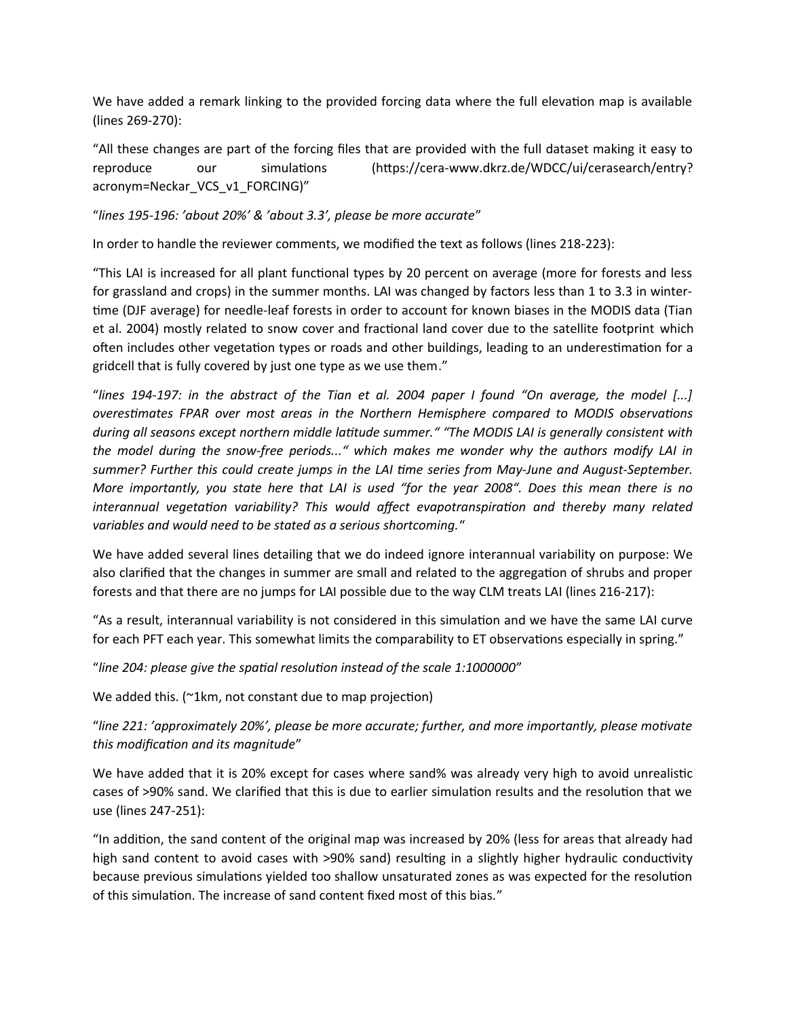We have added a remark linking to the provided forcing data where the full elevation map is available (lines 269-270):

"All these changes are part of the forcing files that are provided with the full dataset making it easy to reproduce our simulations (https://cera-www.dkrz.de/WDCC/ui/cerasearch/entry? acronym=Neckar\_VCS\_v1\_FORCING)"

"*lines 195-196: 'about 20%' & 'about 3.3', please be more accurate*"

In order to handle the reviewer comments, we modified the text as follows (lines 218-223):

"This LAI is increased for all plant functional types by 20 percent on average (more for forests and less for grassland and crops) in the summer months. LAI was changed by factors less than 1 to 3.3 in wintertime (DJF average) for needle-leaf forests in order to account for known biases in the MODIS data (Tian et al. 2004) mostly related to snow cover and fractional land cover due to the satellite footprint which often includes other vegetation types or roads and other buildings, leading to an underestimation for a gridcell that is fully covered by just one type as we use them."

"*lines 194-197: in the abstract of the Tian et al. 2004 paper I found "On average, the model [...] overestimates FPAR over most areas in the Northern Hemisphere compared to MODIS observations during all seasons except northern middle latitude summer." "The MODIS LAI is generally consistent with the model during the snow-free periods..." which makes me wonder why the authors modify LAI in summer? Further this could create jumps in the LAI time series from May-June and August-September. More importantly, you state here that LAI is used "for the year 2008". Does this mean there is no interannual vegetation variability? This would affect evapotranspiration and thereby many related variables and would need to be stated as a serious shortcoming.*"

We have added several lines detailing that we do indeed ignore interannual variability on purpose: We also clarified that the changes in summer are small and related to the aggregation of shrubs and proper forests and that there are no jumps for LAI possible due to the way CLM treats LAI (lines 216-217):

"As a result, interannual variability is not considered in this simulation and we have the same LAI curve for each PFT each year. This somewhat limits the comparability to ET observations especially in spring."

"*line 204: please give the spatial resolution instead of the scale 1:1000000*"

We added this. (~1km, not constant due to map projection)

"*line 221: 'approximately 20%', please be more accurate; further, and more importantly, please motivate this modification and its magnitude*"

We have added that it is 20% except for cases where sand% was already very high to avoid unrealistic cases of >90% sand. We clarified that this is due to earlier simulation results and the resolution that we use (lines 247-251):

"In addition, the sand content of the original map was increased by 20% (less for areas that already had high sand content to avoid cases with >90% sand) resulting in a slightly higher hydraulic conductivity because previous simulations yielded too shallow unsaturated zones as was expected for the resolution of this simulation. The increase of sand content fixed most of this bias."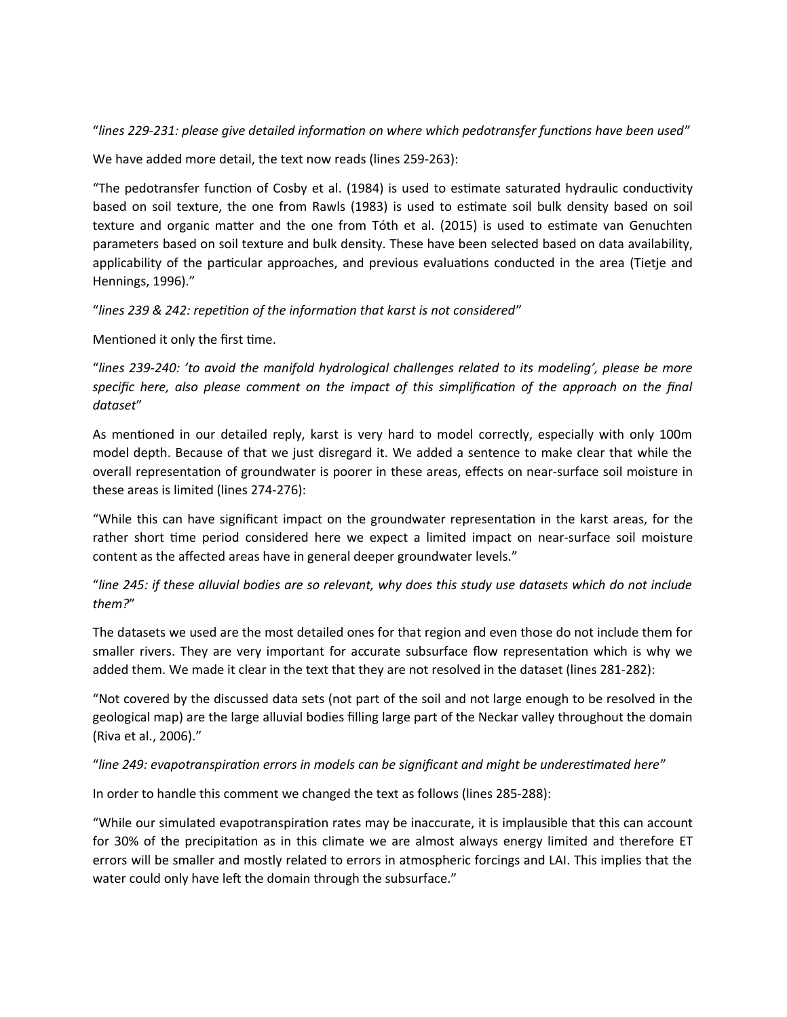"*lines 229-231: please give detailed information on where which pedotransfer functions have been used*"

We have added more detail, the text now reads (lines 259-263):

"The pedotransfer function of Cosby et al. (1984) is used to estimate saturated hydraulic conductivity based on soil texture, the one from Rawls (1983) is used to estimate soil bulk density based on soil texture and organic matter and the one from Tóth et al. (2015) is used to estimate van Genuchten parameters based on soil texture and bulk density. These have been selected based on data availability, applicability of the particular approaches, and previous evaluations conducted in the area (Tietje and Hennings, 1996)."

"*lines 239 & 242: repetition of the information that karst is not considered*"

Mentioned it only the first time.

"*lines 239-240: 'to avoid the manifold hydrological challenges related to its modeling', please be more specific here, also please comment on the impact of this simplification of the approach on the final dataset*"

As mentioned in our detailed reply, karst is very hard to model correctly, especially with only 100m model depth. Because of that we just disregard it. We added a sentence to make clear that while the overall representation of groundwater is poorer in these areas, effects on near-surface soil moisture in these areas is limited (lines 274-276):

"While this can have significant impact on the groundwater representation in the karst areas, for the rather short time period considered here we expect a limited impact on near-surface soil moisture content as the affected areas have in general deeper groundwater levels."

"*line 245: if these alluvial bodies are so relevant, why does this study use datasets which do not include them?*"

The datasets we used are the most detailed ones for that region and even those do not include them for smaller rivers. They are very important for accurate subsurface flow representation which is why we added them. We made it clear in the text that they are not resolved in the dataset (lines 281-282):

"Not covered by the discussed data sets (not part of the soil and not large enough to be resolved in the geological map) are the large alluvial bodies filling large part of the Neckar valley throughout the domain (Riva et al., 2006)."

# "*line 249: evapotranspiration errors in models can be significant and might be underestimated here*"

In order to handle this comment we changed the text as follows (lines 285-288):

"While our simulated evapotranspiration rates may be inaccurate, it is implausible that this can account for 30% of the precipitation as in this climate we are almost always energy limited and therefore ET errors will be smaller and mostly related to errors in atmospheric forcings and LAI. This implies that the water could only have left the domain through the subsurface."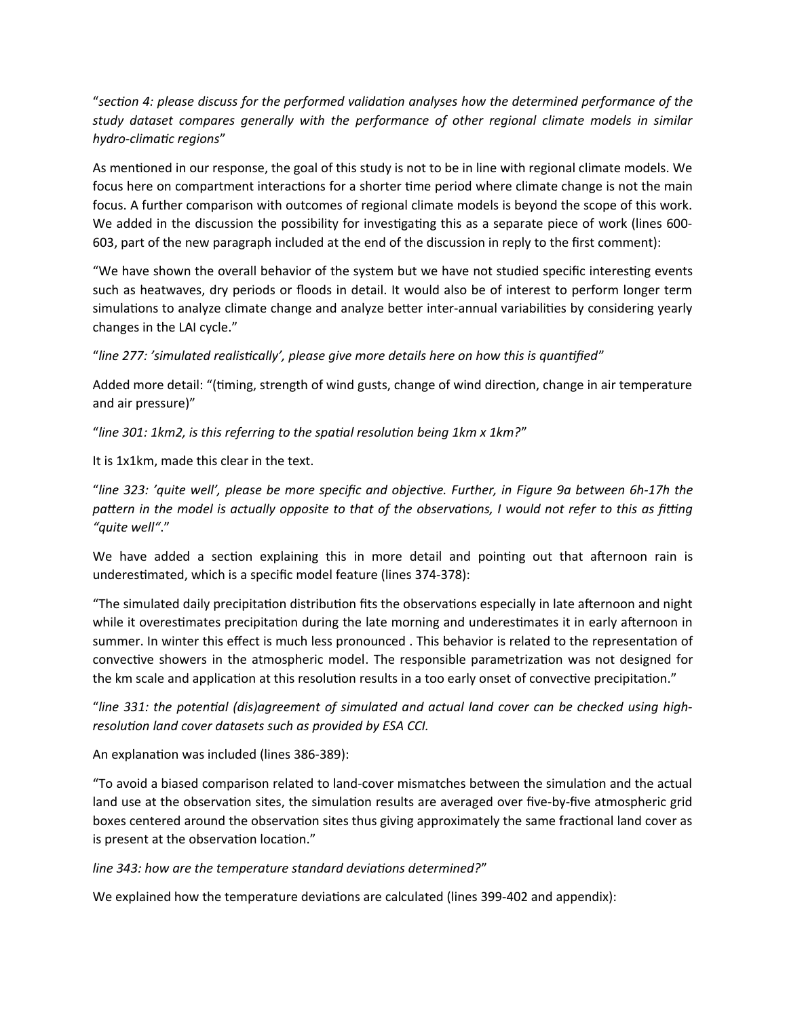"*section 4: please discuss for the performed validation analyses how the determined performance of the study dataset compares generally with the performance of other regional climate models in similar hydro-climatic regions*"

As mentioned in our response, the goal of this study is not to be in line with regional climate models. We focus here on compartment interactions for a shorter time period where climate change is not the main focus. A further comparison with outcomes of regional climate models is beyond the scope of this work. We added in the discussion the possibility for investigating this as a separate piece of work (lines 600- 603, part of the new paragraph included at the end of the discussion in reply to the first comment):

"We have shown the overall behavior of the system but we have not studied specific interesting events such as heatwaves, dry periods or floods in detail. It would also be of interest to perform longer term simulations to analyze climate change and analyze better inter-annual variabilities by considering yearly changes in the LAI cycle."

"*line 277: 'simulated realistically', please give more details here on how this is quantified*"

Added more detail: "(timing, strength of wind gusts, change of wind direction, change in air temperature and air pressure)"

"*line 301: 1km2, is this referring to the spatial resolution being 1km x 1km?*"

It is 1x1km, made this clear in the text.

"*line 323: 'quite well', please be more specific and objective. Further, in Figure 9a between 6h-17h the pattern in the model is actually opposite to that of the observations, I would not refer to this as fitting "quite well"*."

We have added a section explaining this in more detail and pointing out that afternoon rain is underestimated, which is a specific model feature (lines 374-378):

"The simulated daily precipitation distribution fits the observations especially in late afternoon and night while it overestimates precipitation during the late morning and underestimates it in early afternoon in summer. In winter this effect is much less pronounced . This behavior is related to the representation of convective showers in the atmospheric model. The responsible parametrization was not designed for the km scale and application at this resolution results in a too early onset of convective precipitation."

"*line 331: the potential (dis)agreement of simulated and actual land cover can be checked using highresolution land cover datasets such as provided by ESA CCI.* 

An explanation was included (lines 386-389):

"To avoid a biased comparison related to land-cover mismatches between the simulation and the actual land use at the observation sites, the simulation results are averaged over five-by-five atmospheric grid boxes centered around the observation sites thus giving approximately the same fractional land cover as is present at the observation location."

*line 343: how are the temperature standard deviations determined?*"

We explained how the temperature deviations are calculated (lines 399-402 and appendix):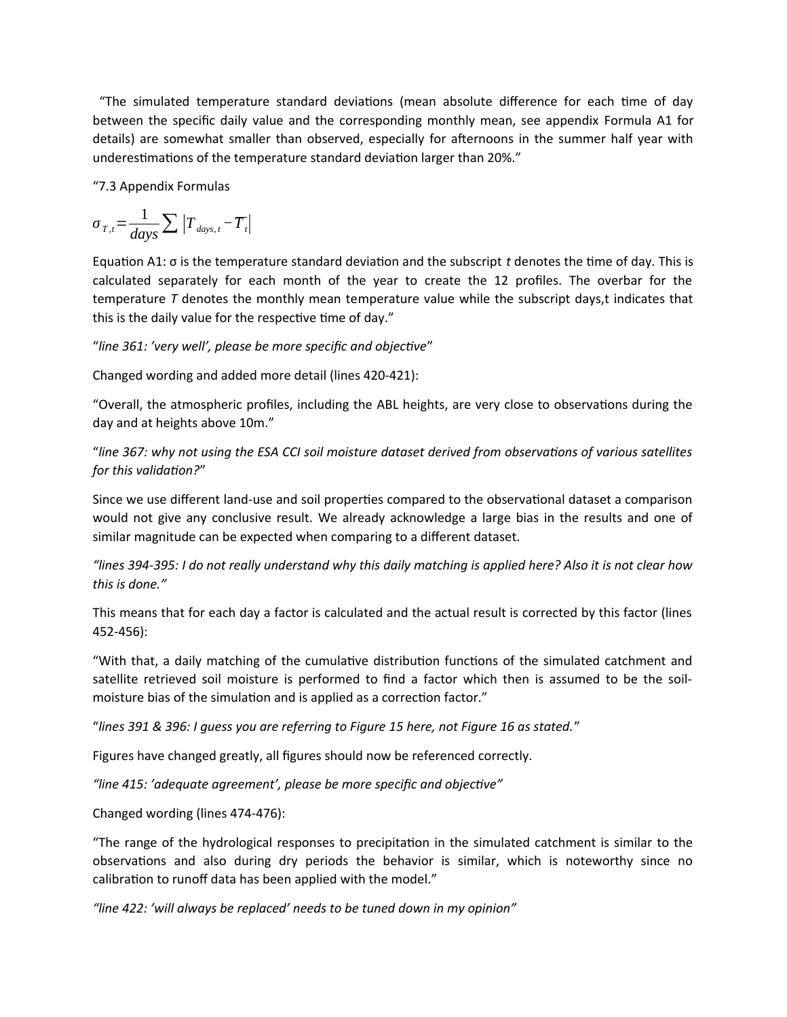"The simulated temperature standard deviations (mean absolute difference for each time of day between the specific daily value and the corresponding monthly mean, see appendix Formula A1 for details) are somewhat smaller than observed, especially for afternoons in the summer half year with underestimations of the temperature standard deviation larger than 20%."

"7.3 Appendix Formulas

$$
\sigma_{T,t} = \frac{1}{days} \sum |T_{\text{days},t} - \overline{T}_t|
$$

Equation A1: σ is the temperature standard deviation and the subscript *t* denotes the time of day. This is calculated separately for each month of the year to create the 12 profiles. The overbar for the temperature *T* denotes the monthly mean temperature value while the subscript days,t indicates that this is the daily value for the respective time of day."

"*line 361: 'very well', please be more specific and objective*"

Changed wording and added more detail (lines 420-421):

"Overall, the atmospheric profiles, including the ABL heights, are very close to observations during the day and at heights above 10m."

"*line 367: why not using the ESA CCI soil moisture dataset derived from observations of various satellites for this validation?*"

Since we use different land-use and soil properties compared to the observational dataset a comparison would not give any conclusive result. We already acknowledge a large bias in the results and one of similar magnitude can be expected when comparing to a different dataset.

*"lines 394-395: I do not really understand why this daily matching is applied here? Also it is not clear how this is done."*

This means that for each day a factor is calculated and the actual result is corrected by this factor (lines 452-456):

"With that, a daily matching of the cumulative distribution functions of the simulated catchment and satellite retrieved soil moisture is performed to find a factor which then is assumed to be the soilmoisture bias of the simulation and is applied as a correction factor."

"*lines 391 & 396: I guess you are referring to Figure 15 here, not Figure 16 as stated.*"

Figures have changed greatly, all figures should now be referenced correctly.

*"line 415: 'adequate agreement', please be more specific and objective"*

Changed wording (lines 474-476):

"The range of the hydrological responses to precipitation in the simulated catchment is similar to the observations and also during dry periods the behavior is similar, which is noteworthy since no calibration to runoff data has been applied with the model."

*"line 422: 'will always be replaced' needs to be tuned down in my opinion"*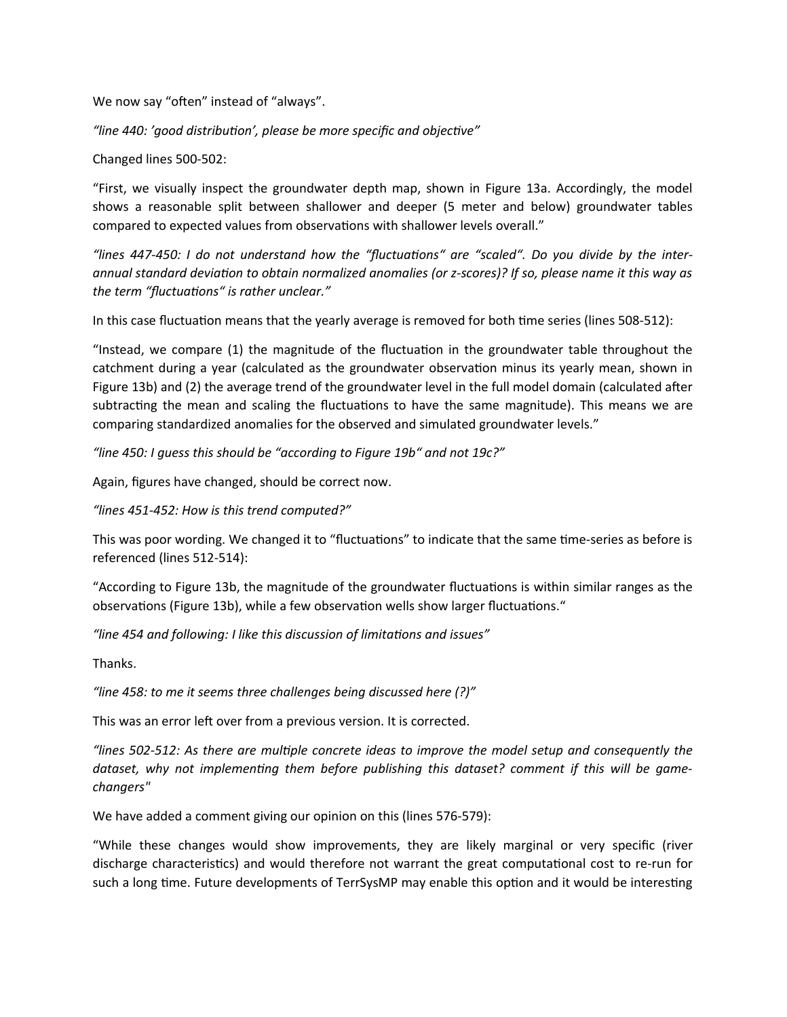We now say "often" instead of "always".

*"line 440: 'good distribution', please be more specific and objective"*

Changed lines 500-502:

"First, we visually inspect the groundwater depth map, shown in Figure 13a. Accordingly, the model shows a reasonable split between shallower and deeper (5 meter and below) groundwater tables compared to expected values from observations with shallower levels overall."

*"lines 447-450: I do not understand how the "fluctuations" are "scaled". Do you divide by the interannual standard deviation to obtain normalized anomalies (or z-scores)? If so, please name it this way as the term "fluctuations" is rather unclear."*

In this case fluctuation means that the yearly average is removed for both time series (lines 508-512):

"Instead, we compare (1) the magnitude of the fluctuation in the groundwater table throughout the catchment during a year (calculated as the groundwater observation minus its yearly mean, shown in Figure 13b) and (2) the average trend of the groundwater level in the full model domain (calculated after subtracting the mean and scaling the fluctuations to have the same magnitude). This means we are comparing standardized anomalies for the observed and simulated groundwater levels."

*"line 450: I guess this should be "according to Figure 19b" and not 19c?"*

Again, figures have changed, should be correct now.

*"lines 451-452: How is this trend computed?"*

This was poor wording. We changed it to "fluctuations" to indicate that the same time-series as before is referenced (lines 512-514):

"According to Figure 13b, the magnitude of the groundwater fluctuations is within similar ranges as the observations (Figure 13b), while a few observation wells show larger fluctuations."

*"line 454 and following: I like this discussion of limitations and issues"*

Thanks.

*"line 458: to me it seems three challenges being discussed here (?)"*

This was an error left over from a previous version. It is corrected.

*"lines 502-512: As there are multiple concrete ideas to improve the model setup and consequently the dataset, why not implementing them before publishing this dataset? comment if this will be gamechangers"*

We have added a comment giving our opinion on this (lines 576-579):

"While these changes would show improvements, they are likely marginal or very specific (river discharge characteristics) and would therefore not warrant the great computational cost to re-run for such a long time. Future developments of TerrSysMP may enable this option and it would be interesting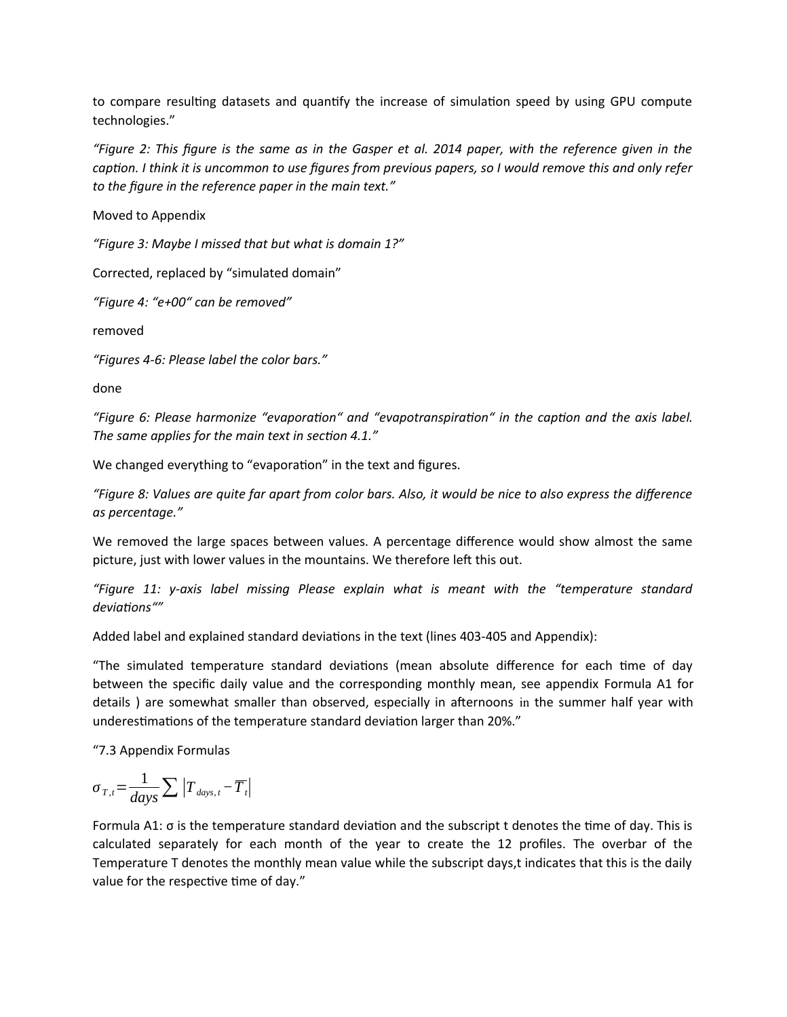to compare resulting datasets and quantify the increase of simulation speed by using GPU compute technologies."

*"Figure 2: This figure is the same as in the Gasper et al. 2014 paper, with the reference given in the caption. I think it is uncommon to use figures from previous papers, so I would remove this and only refer to the figure in the reference paper in the main text."*

Moved to Appendix

*"Figure 3: Maybe I missed that but what is domain 1?"*

Corrected, replaced by "simulated domain"

*"Figure 4: "e+00" can be removed"*

removed

*"Figures 4-6: Please label the color bars."*

done

*"Figure 6: Please harmonize "evaporation" and "evapotranspiration" in the caption and the axis label. The same applies for the main text in section 4.1."*

We changed everything to "evaporation" in the text and figures.

*"Figure 8: Values are quite far apart from color bars. Also, it would be nice to also express the difference as percentage."*

We removed the large spaces between values. A percentage difference would show almost the same picture, just with lower values in the mountains. We therefore left this out.

*"Figure 11: y-axis label missing Please explain what is meant with the "temperature standard deviations""*

Added label and explained standard deviations in the text (lines 403-405 and Appendix):

"The simulated temperature standard deviations (mean absolute difference for each time of day between the specific daily value and the corresponding monthly mean, see appendix Formula A1 for details ) are somewhat smaller than observed, especially in afternoons in the summer half year with underestimations of the temperature standard deviation larger than 20%."

"7.3 Appendix Formulas

$$
\sigma_{T,t} = \frac{1}{days} \sum |T_{\text{days},t} - \overline{T_t}|
$$

Formula A1: σ is the temperature standard deviation and the subscript t denotes the time of day. This is calculated separately for each month of the year to create the 12 profiles. The overbar of the Temperature T denotes the monthly mean value while the subscript days,t indicates that this is the daily value for the respective time of day."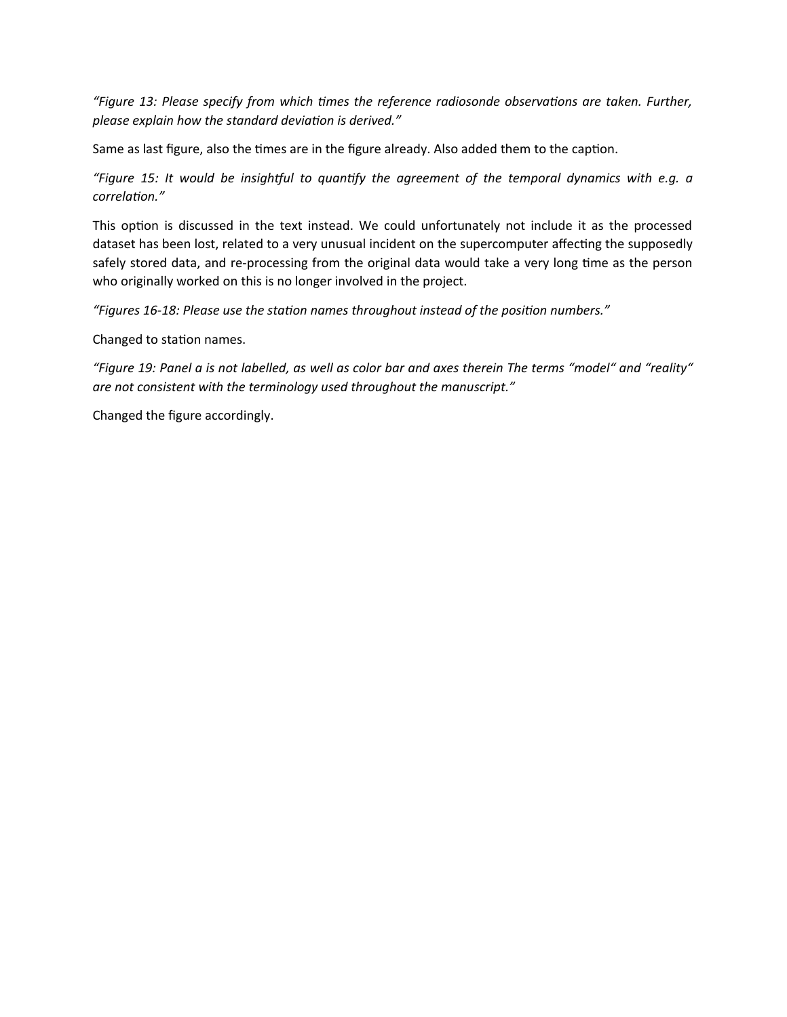*"Figure 13: Please specify from which times the reference radiosonde observations are taken. Further, please explain how the standard deviation is derived."*

Same as last figure, also the times are in the figure already. Also added them to the caption.

*"Figure 15: It would be insightful to quantify the agreement of the temporal dynamics with e.g. a correlation."*

This option is discussed in the text instead. We could unfortunately not include it as the processed dataset has been lost, related to a very unusual incident on the supercomputer affecting the supposedly safely stored data, and re-processing from the original data would take a very long time as the person who originally worked on this is no longer involved in the project.

*"Figures 16-18: Please use the station names throughout instead of the position numbers."*

Changed to station names.

*"Figure 19: Panel a is not labelled, as well as color bar and axes therein The terms "model" and "reality" are not consistent with the terminology used throughout the manuscript."*

Changed the figure accordingly.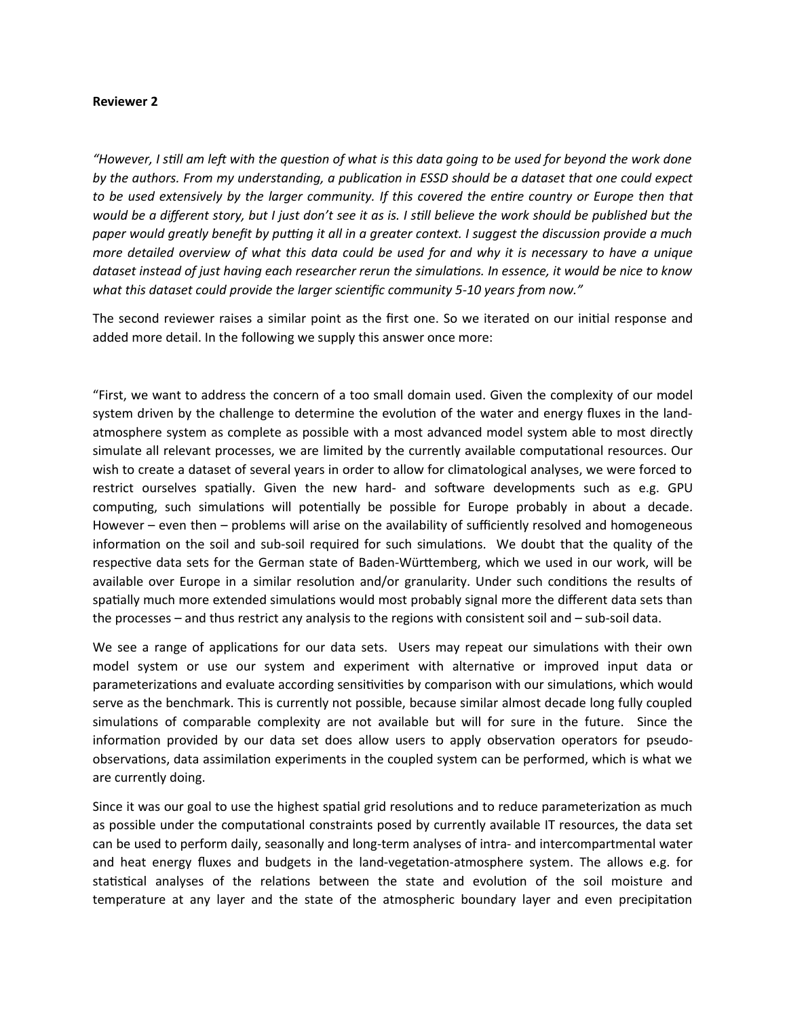#### **Reviewer 2**

*"However, I still am left with the question of what is this data going to be used for beyond the work done by the authors. From my understanding, a publication in ESSD should be a dataset that one could expect to be used extensively by the larger community. If this covered the entire country or Europe then that would be a different story, but I just don't see it as is. I still believe the work should be published but the paper would greatly benefit by putting it all in a greater context. I suggest the discussion provide a much more detailed overview of what this data could be used for and why it is necessary to have a unique dataset instead of just having each researcher rerun the simulations. In essence, it would be nice to know what this dataset could provide the larger scientific community 5-10 years from now."* 

The second reviewer raises a similar point as the first one. So we iterated on our initial response and added more detail. In the following we supply this answer once more:

"First, we want to address the concern of a too small domain used. Given the complexity of our model system driven by the challenge to determine the evolution of the water and energy fluxes in the landatmosphere system as complete as possible with a most advanced model system able to most directly simulate all relevant processes, we are limited by the currently available computational resources. Our wish to create a dataset of several years in order to allow for climatological analyses, we were forced to restrict ourselves spatially. Given the new hard- and software developments such as e.g. GPU computing, such simulations will potentially be possible for Europe probably in about a decade. However – even then – problems will arise on the availability of sufficiently resolved and homogeneous information on the soil and sub-soil required for such simulations. We doubt that the quality of the respective data sets for the German state of Baden-Württemberg, which we used in our work, will be available over Europe in a similar resolution and/or granularity. Under such conditions the results of spatially much more extended simulations would most probably signal more the different data sets than the processes – and thus restrict any analysis to the regions with consistent soil and – sub-soil data.

We see a range of applications for our data sets. Users may repeat our simulations with their own model system or use our system and experiment with alternative or improved input data or parameterizations and evaluate according sensitivities by comparison with our simulations, which would serve as the benchmark. This is currently not possible, because similar almost decade long fully coupled simulations of comparable complexity are not available but will for sure in the future. Since the information provided by our data set does allow users to apply observation operators for pseudoobservations, data assimilation experiments in the coupled system can be performed, which is what we are currently doing.

Since it was our goal to use the highest spatial grid resolutions and to reduce parameterization as much as possible under the computational constraints posed by currently available IT resources, the data set can be used to perform daily, seasonally and long-term analyses of intra- and intercompartmental water and heat energy fluxes and budgets in the land-vegetation-atmosphere system. The allows e.g. for statistical analyses of the relations between the state and evolution of the soil moisture and temperature at any layer and the state of the atmospheric boundary layer and even precipitation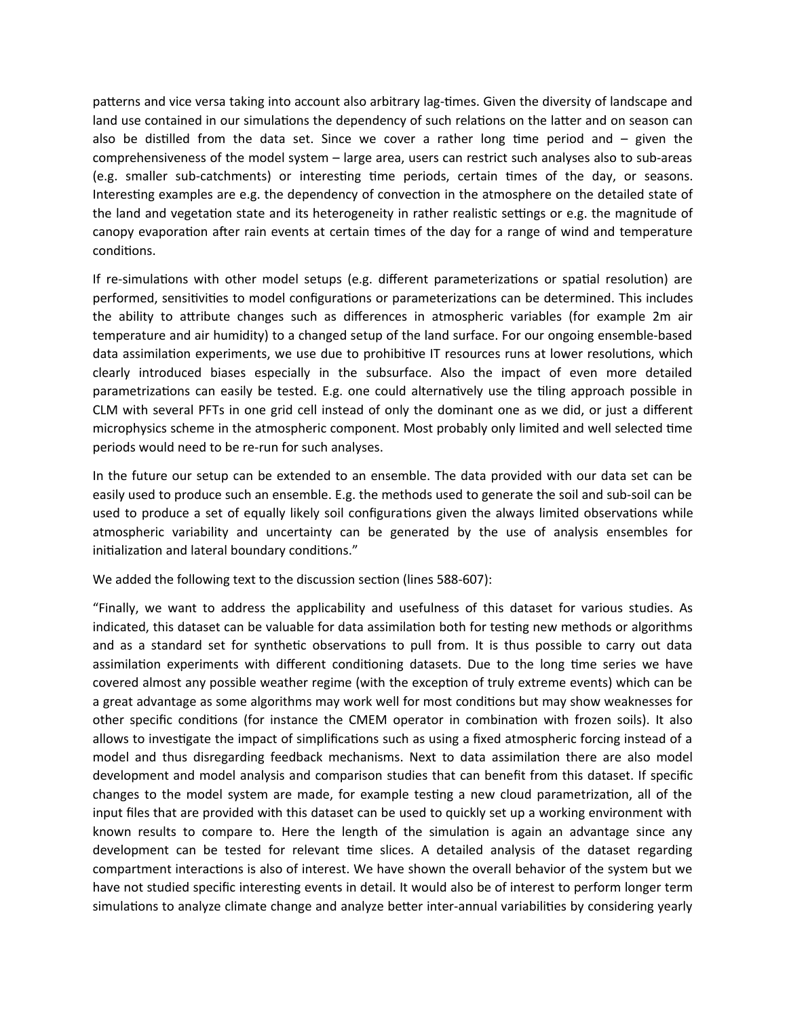patterns and vice versa taking into account also arbitrary lag-times. Given the diversity of landscape and land use contained in our simulations the dependency of such relations on the latter and on season can also be distilled from the data set. Since we cover a rather long time period and – given the comprehensiveness of the model system – large area, users can restrict such analyses also to sub-areas (e.g. smaller sub-catchments) or interesting time periods, certain times of the day, or seasons. Interesting examples are e.g. the dependency of convection in the atmosphere on the detailed state of the land and vegetation state and its heterogeneity in rather realistic settings or e.g. the magnitude of canopy evaporation after rain events at certain times of the day for a range of wind and temperature conditions.

If re-simulations with other model setups (e.g. different parameterizations or spatial resolution) are performed, sensitivities to model configurations or parameterizations can be determined. This includes the ability to attribute changes such as differences in atmospheric variables (for example 2m air temperature and air humidity) to a changed setup of the land surface. For our ongoing ensemble-based data assimilation experiments, we use due to prohibitive IT resources runs at lower resolutions, which clearly introduced biases especially in the subsurface. Also the impact of even more detailed parametrizations can easily be tested. E.g. one could alternatively use the tiling approach possible in CLM with several PFTs in one grid cell instead of only the dominant one as we did, or just a different microphysics scheme in the atmospheric component. Most probably only limited and well selected time periods would need to be re-run for such analyses.

In the future our setup can be extended to an ensemble. The data provided with our data set can be easily used to produce such an ensemble. E.g. the methods used to generate the soil and sub-soil can be used to produce a set of equally likely soil configurations given the always limited observations while atmospheric variability and uncertainty can be generated by the use of analysis ensembles for initialization and lateral boundary conditions."

We added the following text to the discussion section (lines 588-607):

"Finally, we want to address the applicability and usefulness of this dataset for various studies. As indicated, this dataset can be valuable for data assimilation both for testing new methods or algorithms and as a standard set for synthetic observations to pull from. It is thus possible to carry out data assimilation experiments with different conditioning datasets. Due to the long time series we have covered almost any possible weather regime (with the exception of truly extreme events) which can be a great advantage as some algorithms may work well for most conditions but may show weaknesses for other specific conditions (for instance the CMEM operator in combination with frozen soils). It also allows to investigate the impact of simplifications such as using a fixed atmospheric forcing instead of a model and thus disregarding feedback mechanisms. Next to data assimilation there are also model development and model analysis and comparison studies that can benefit from this dataset. If specific changes to the model system are made, for example testing a new cloud parametrization, all of the input files that are provided with this dataset can be used to quickly set up a working environment with known results to compare to. Here the length of the simulation is again an advantage since any development can be tested for relevant time slices. A detailed analysis of the dataset regarding compartment interactions is also of interest. We have shown the overall behavior of the system but we have not studied specific interesting events in detail. It would also be of interest to perform longer term simulations to analyze climate change and analyze better inter-annual variabilities by considering yearly